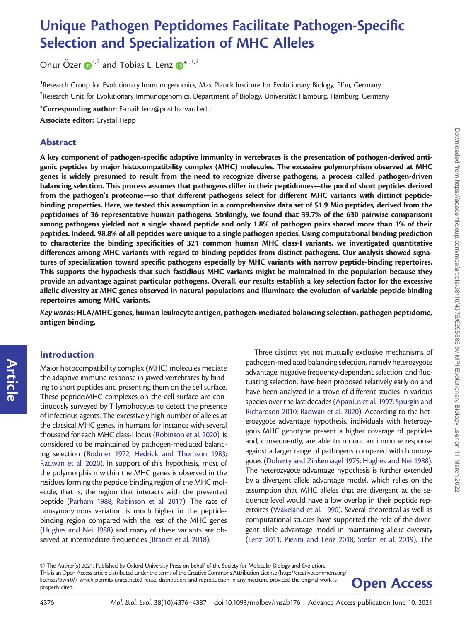# Unique Pathogen Peptidomes Facilitate Pathogen-Specific Selection and Specialization of MHC Alleles

Onur Özer  $\mathbf{D}^{1,2}$  $\mathbf{D}^{1,2}$  $\mathbf{D}^{1,2}$  and Tobias L. Lenz  $\mathbf{D}^{*}$  $\mathbf{D}^{*}$  $\mathbf{D}^{*}$ ,  $^{1,2}$ 

<sup>1</sup>Research Group for Evolutionary Immunogenomics, Max Planck Institute for Evolutionary Biology, Plön, Germany  $^2$ Research Unit for Evolutionary Immunogenomics, Department of Biology, Universität Hamburg, Hamburg, Germany

\*Corresponding author: E-mail: lenz@post.harvard.edu. Associate editor: Crystal Hepp

## Abstract

A key component of pathogen-specific adaptive immunity in vertebrates is the presentation of pathogen-derived antigenic peptides by major histocompatibility complex (MHC) molecules. The excessive polymorphism observed at MHC genes is widely presumed to result from the need to recognize diverse pathogens, a process called pathogen-driven balancing selection. This process assumes that pathogens differ in their peptidomes—the pool of short peptides derived from the pathogen's proteome—so that different pathogens select for different MHC variants with distinct peptidebinding properties. Here, we tested this assumption in a comprehensive data set of 51.9 Mio peptides, derived from the peptidomes of 36 representative human pathogens. Strikingly, we found that 39.7% of the 630 pairwise comparisons among pathogens yielded not a single shared peptide and only 1.8% of pathogen pairs shared more than 1% of their peptides. Indeed, 98.8% of all peptides were unique to a single pathogen species. Using computational binding prediction to characterize the binding specificities of 321 common human MHC class-I variants, we investigated quantitative differences among MHC variants with regard to binding peptides from distinct pathogens. Our analysis showed signatures of specialization toward specific pathogens especially by MHC variants with narrow peptide-binding repertoires. This supports the hypothesis that such fastidious MHC variants might be maintained in the population because they provide an advantage against particular pathogens. Overall, our results establish a key selection factor for the excessive allelic diversity at MHC genes observed in natural populations and illuminate the evolution of variable peptide-binding repertoires among MHC variants.

Key words: HLA/MHC genes, human leukocyte antigen, pathogen-mediated balancing selection, pathogen peptidome, antigen binding.

### Introduction

Article

Major histocompatibility complex (MHC) molecules mediate the adaptive immune response in jawed vertebrates by binding to short peptides and presenting them on the cell surface. These peptide:MHC complexes on the cell surface are continuously surveyed by T lymphocytes to detect the presence of infectious agents. The excessively high number of alleles at the classical MHC genes, in humans for instance with several thousand for each MHC class-I locus [\(Robinson et al. 2020](#page-10-0)), is considered to be maintained by pathogen-mediated balancing selection ([Bodmer 1972;](#page-9-0) [Hedrick and Thomson 1983;](#page-10-0) [Radwan et al. 2020](#page-10-0)). In support of this hypothesis, most of the polymorphism within the MHC genes is observed in the residues forming the peptide-binding region of the MHC molecule, that is, the region that interacts with the presented peptide ([Parham 1988](#page-10-0); [Robinson et al. 2017](#page-10-0)). The rate of nonsynonymous variation is much higher in the peptidebinding region compared with the rest of the MHC genes ([Hughes and Nei 1988](#page-10-0)) and many of these variants are observed at intermediate frequencies [\(Brandt et al. 2018](#page-9-0)).

Three distinct yet not mutually exclusive mechanisms of pathogen-mediated balancing selection, namely heterozygote advantage, negative frequency-dependent selection, and fluctuating selection, have been proposed relatively early on and have been analyzed in a trove of different studies in various species over the last decades ([Apanius et al. 1997](#page-9-0); [Spurgin and](#page-11-0) [Richardson 2010;](#page-11-0) [Radwan et al. 2020\)](#page-10-0). According to the heterozygote advantage hypothesis, individuals with heterozygous MHC genotype present a higher coverage of peptides and, consequently, are able to mount an immune response against a larger range of pathogens compared with homozygotes [\(Doherty and Zinkernagel 1975;](#page-9-0) [Hughes and Nei 1988\)](#page-10-0). The heterozygote advantage hypothesis is further extended by a divergent allele advantage model, which relies on the assumption that MHC alleles that are divergent at the sequence level would have a low overlap in their peptide repertoires [\(Wakeland et al. 1990](#page-11-0)). Several theoretical as well as computational studies have supported the role of the divergent allele advantage model in maintaining allelic diversity [\(Lenz 2011;](#page-10-0) [Pierini and Lenz 2018;](#page-10-0) [Stefan et al. 2019\)](#page-11-0). The

<sup>-</sup> The Author(s) 2021. Published by Oxford University Press on behalf of the Society for Molecular Biology and Evolution. This is an Open Access article distributed under the terms of the Creative Commons Attribution License (http://creativecommons.org/ licenses/by/4.0/), which permits unrestricted reuse, distribution, and reproduction in any medium, provided the original work is **Open Access** 

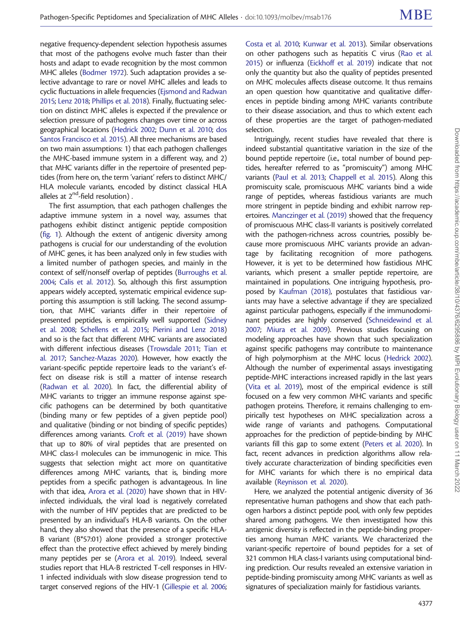negative frequency-dependent selection hypothesis assumes that most of the pathogens evolve much faster than their hosts and adapt to evade recognition by the most common MHC alleles ([Bodmer 1972](#page-9-0)). Such adaptation provides a selective advantage to rare or novel MHC alleles and leads to cyclic fluctuations in allele frequencies [\(Ejsmond and Radwan](#page-10-0) [2015;](#page-10-0) [Lenz 2018;](#page-10-0) [Phillips et al. 2018](#page-10-0)). Finally, fluctuating selection on distinct MHC alleles is expected if the prevalence or selection pressure of pathogens changes over time or across geographical locations ([Hedrick 2002](#page-10-0); [Dunn et al. 2010;](#page-10-0) [dos](#page-10-0) [Santos Francisco et al. 2015\)](#page-10-0). All three mechanisms are based on two main assumptions: 1) that each pathogen challenges the MHC-based immune system in a different way, and 2) that MHC variants differ in the repertoire of presented peptides (from here on, the term 'variant' refers to distinct MHC/ HLA molecule variants, encoded by distinct classical HLA alleles at  $2^{nd}$ -field resolution).

The first assumption, that each pathogen challenges the adaptive immune system in a novel way, assumes that pathogens exhibit distinct antigenic peptide composition ([fig. 1](#page-2-0)). Although the extent of antigenic diversity among pathogens is crucial for our understanding of the evolution of MHC genes, it has been analyzed only in few studies with a limited number of pathogen species, and mainly in the context of self/nonself overlap of peptides ([Burroughs et al.](#page-9-0) [2004;](#page-9-0) [Calis et al. 2012\)](#page-9-0). So, although this first assumption appears widely accepted, systematic empirical evidence supporting this assumption is still lacking. The second assumption, that MHC variants differ in their repertoire of presented peptides, is empirically well supported [\(Sidney](#page-11-0) [et al. 2008;](#page-11-0) [Schellens et al. 2015;](#page-11-0) [Pierini and Lenz 2018](#page-10-0)) and so is the fact that different MHC variants are associated with different infectious diseases [\(Trowsdale 2011;](#page-11-0) [Tian et](#page-11-0) [al. 2017;](#page-11-0) [Sanchez-Mazas 2020\)](#page-10-0). However, how exactly the variant-specific peptide repertoire leads to the variant's effect on disease risk is still a matter of intense research ([Radwan et al. 2020\)](#page-10-0). In fact, the differential ability of MHC variants to trigger an immune response against specific pathogens can be determined by both quantitative (binding many or few peptides of a given peptide pool) and qualitative (binding or not binding of specific peptides) differences among variants. [Croft et al. \(2019\)](#page-9-0) have shown that up to 80% of viral peptides that are presented on MHC class-I molecules can be immunogenic in mice. This suggests that selection might act more on quantitative differences among MHC variants, that is, binding more peptides from a specific pathogen is advantageous. In line with that idea, [Arora et al. \(2020\)](#page-9-0) have shown that in HIVinfected individuals, the viral load is negatively correlated with the number of HIV peptides that are predicted to be presented by an individual's HLA-B variants. On the other hand, they also showed that the presence of a specific HLA-B variant (B\*57:01) alone provided a stronger protective effect than the protective effect achieved by merely binding many peptides per se ([Arora et al. 2019\)](#page-9-0). Indeed, several studies report that HLA-B restricted T-cell responses in HIV-1 infected individuals with slow disease progression tend to target conserved regions of the HIV-1 [\(Gillespie et al. 2006;](#page-10-0)

[Costa et al. 2010](#page-9-0); [Kunwar et al. 2013](#page-10-0)). Similar observations on other pathogens such as hepatitis C virus ([Rao et al.](#page-10-0) [2015\)](#page-10-0) or influenza [\(Eickhoff et al. 2019\)](#page-10-0) indicate that not only the quantity but also the quality of peptides presented on MHC molecules affects disease outcome. It thus remains an open question how quantitative and qualitative differences in peptide binding among MHC variants contribute to their disease association, and thus to which extent each of these properties are the target of pathogen-mediated selection.

Intriguingly, recent studies have revealed that there is indeed substantial quantitative variation in the size of the bound peptide repertoire (i.e., total number of bound peptides, hereafter referred to as "promiscuity") among MHC variants ([Paul et al. 2013;](#page-10-0) [Chappell et al. 2015\)](#page-9-0). Along this promiscuity scale, promiscuous MHC variants bind a wide range of peptides, whereas fastidious variants are much more stringent in peptide binding and exhibit narrow repertoires. [Manczinger et al. \(2019\)](#page-10-0) showed that the frequency of promiscuous MHC class-II variants is positively correlated with the pathogen-richness across countries, possibly because more promiscuous MHC variants provide an advantage by facilitating recognition of more pathogens. However, it is yet to be determined how fastidious MHC variants, which present a smaller peptide repertoire, are maintained in populations. One intriguing hypothesis, proposed by [Kaufman \(2018\)](#page-10-0), postulates that fastidious variants may have a selective advantage if they are specialized against particular pathogens, especially if the immunodominant peptides are highly conserved [\(Schneidewind et al.](#page-11-0) [2007;](#page-11-0) [Miura et al. 2009](#page-10-0)). Previous studies focusing on modeling approaches have shown that such specialization against specific pathogens may contribute to maintenance of high polymorphism at the MHC locus ([Hedrick 2002\)](#page-10-0). Although the number of experimental assays investigating peptide-MHC interactions increased rapidly in the last years [\(Vita et al. 2019\)](#page-11-0), most of the empirical evidence is still focused on a few very common MHC variants and specific pathogen proteins. Therefore, it remains challenging to empirically test hypotheses on MHC specialization across a wide range of variants and pathogens. Computational approaches for the prediction of peptide-binding by MHC variants fill this gap to some extent [\(Peters et al. 2020](#page-10-0)). In fact, recent advances in prediction algorithms allow relatively accurate characterization of binding specificities even for MHC variants for which there is no empirical data available [\(Reynisson et al. 2020\)](#page-10-0).

Here, we analyzed the potential antigenic diversity of 36 representative human pathogens and show that each pathogen harbors a distinct peptide pool, with only few peptides shared among pathogens. We then investigated how this antigenic diversity is reflected in the peptide-binding properties among human MHC variants. We characterized the variant-specific repertoire of bound peptides for a set of 321 common HLA class-I variants using computational binding prediction. Our results revealed an extensive variation in peptide-binding promiscuity among MHC variants as well as signatures of specialization mainly for fastidious variants.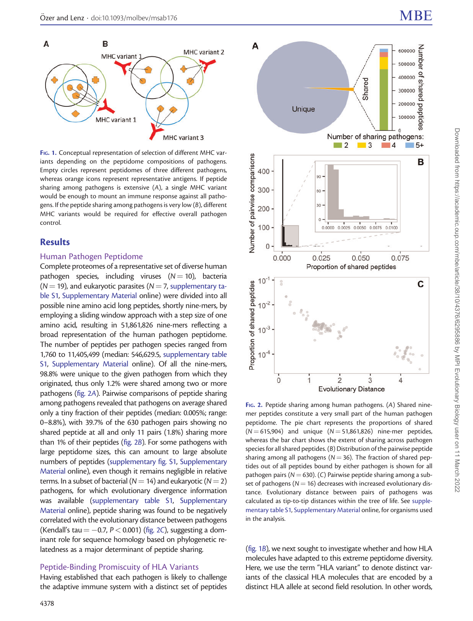<span id="page-2-0"></span>

FIG. 1. Conceptual representation of selection of different MHC variants depending on the peptidome compositions of pathogens. Empty circles represent peptidomes of three different pathogens, whereas orange icons represent representative antigens. If peptide sharing among pathogens is extensive (A), a single MHC variant would be enough to mount an immune response against all pathogens. If the peptide sharing among pathogens is very low (B), different MHC variants would be required for effective overall pathogen control.

#### Results

#### Human Pathogen Peptidome

Complete proteomes of a representative set of diverse human pathogen species, including viruses  $(N = 10)$ , bacteria  $(N = 19)$ , and eukaryotic parasites  $(N = 7)$ , supplementary table S1, Supplementary Material online) were divided into all possible nine amino acid long peptides, shortly nine-mers, by employing a sliding window approach with a step size of one amino acid, resulting in 51,861,826 nine-mers reflecting a broad representation of the human pathogen peptidome. The number of peptides per pathogen species ranged from 1,760 to 11,405,499 (median: 546,629.5, supplementary table S1, Supplementary Material online). Of all the nine-mers, 98.8% were unique to the given pathogen from which they originated, thus only 1.2% were shared among two or more pathogens (fig. 2A). Pairwise comparisons of peptide sharing among pathogens revealed that pathogens on average shared only a tiny fraction of their peptides (median: 0.005%; range: 0–8.8%), with 39.7% of the 630 pathogen pairs showing no shared peptide at all and only 11 pairs (1.8%) sharing more than 1% of their peptides (fig. 2B). For some pathogens with large peptidome sizes, this can amount to large absolute numbers of peptides (supplementary fig. S1, Supplementary Material online), even though it remains negligible in relative terms. In a subset of bacterial ( $N = 14$ ) and eukaryotic ( $N = 2$ ) pathogens, for which evolutionary divergence information was available (supplementary table S1, Supplementary Material online), peptide sharing was found to be negatively correlated with the evolutionary distance between pathogens (Kendall's tau  $= -0.7$ , P  $<$  0.001) (fig. 2C), suggesting a dominant role for sequence homology based on phylogenetic relatedness as a major determinant of peptide sharing.

#### Peptide-Binding Promiscuity of HLA Variants

Having established that each pathogen is likely to challenge the adaptive immune system with a distinct set of peptides



A

peptidome. The pie chart represents the proportions of shared  $(N = 615,904)$  and unique  $(N = 51,861,826)$  nine-mer peptides, whereas the bar chart shows the extent of sharing across pathogen species for all shared peptides. (B) Distribution of the pairwise peptide sharing among all pathogens ( $N = 36$ ). The fraction of shared peptides out of all peptides bound by either pathogen is shown for all pathogen pairs ( $N = 630$ ). (C) Pairwise peptide sharing among a subset of pathogens ( $N = 16$ ) decreases with increased evolutionary distance. Evolutionary distance between pairs of pathogens was calculated as tip-to-tip distances within the tree of life. See supplementary table S1, Supplementary Material online, for organisms used in the analysis.

(fig. 1B), we next sought to investigate whether and how HLA molecules have adapted to this extreme peptidome diversity. Here, we use the term "HLA variant" to denote distinct variants of the classical HLA molecules that are encoded by a distinct HLA allele at second field resolution. In other words,

Number 600000

 $\Omega$ 400000

shared 300000 200000

peptides

B

C

 $\overline{4}$ 

 $5+$ 

500000

100000

 $\overline{0}$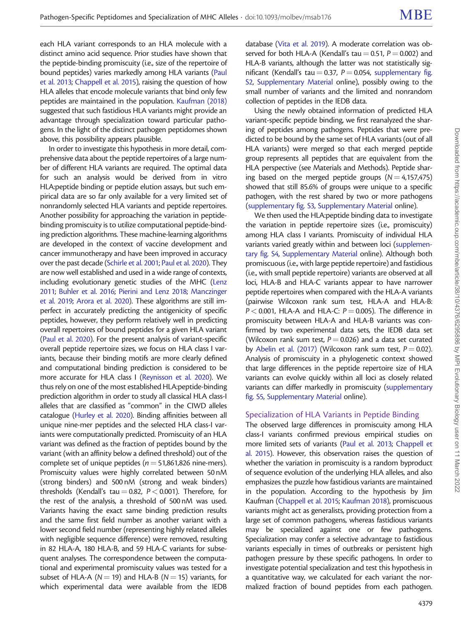each HLA variant corresponds to an HLA molecule with a distinct amino acid sequence. Prior studies have shown that the peptide-binding promiscuity (i.e., size of the repertoire of bound peptides) varies markedly among HLA variants [\(Paul](#page-10-0) [et al. 2013](#page-10-0); [Chappell et al. 2015](#page-9-0)), raising the question of how HLA alleles that encode molecule variants that bind only few peptides are maintained in the population. [Kaufman \(2018\)](#page-10-0) suggested that such fastidious HLA variants might provide an advantage through specialization toward particular pathogens. In the light of the distinct pathogen peptidomes shown above, this possibility appears plausible.

In order to investigate this hypothesis in more detail, comprehensive data about the peptide repertoires of a large number of different HLA variants are required. The optimal data for such an analysis would be derived from in vitro HLA:peptide binding or peptide elution assays, but such empirical data are so far only available for a very limited set of nonrandomly selected HLA variants and peptide repertoires. Another possibility for approaching the variation in peptidebinding promiscuity is to utilize computational peptide-binding prediction algorithms. These machine-learning algorithms are developed in the context of vaccine development and cancer immunotherapy and have been improved in accuracy over the past decade ([Schirle et al. 2001;](#page-11-0) [Paul et al. 2020\)](#page-10-0). They are now well established and used in a wide range of contexts, including evolutionary genetic studies of the MHC [\(Lenz](#page-10-0) [2011;](#page-10-0) [Buhler et al. 2016](#page-9-0); [Pierini and Lenz 2018](#page-10-0); [Manczinger](#page-10-0) [et al. 2019](#page-10-0); [Arora et al. 2020](#page-9-0)). These algorithms are still imperfect in accurately predicting the antigenicity of specific peptides, however, they perform relatively well in predicting overall repertoires of bound peptides for a given HLA variant ([Paul et al. 2020](#page-10-0)). For the present analysis of variant-specific overall peptide repertoire sizes, we focus on HLA class I variants, because their binding motifs are more clearly defined and computational binding prediction is considered to be more accurate for HLA class I [\(Reynisson et al. 2020](#page-10-0)). We thus rely on one of the most established HLA:peptide-binding prediction algorithm in order to study all classical HLA class-I alleles that are classified as "common" in the CIWD alleles catalogue [\(Hurley et al. 2020\)](#page-10-0). Binding affinities between all unique nine-mer peptides and the selected HLA class-I variants were computationally predicted. Promiscuity of an HLA variant was defined as the fraction of peptides bound by the variant (with an affinity below a defined threshold) out of the complete set of unique peptides ( $n = 51,861,826$  nine-mers). Promiscuity values were highly correlated between 50 nM (strong binders) and 500 nM (strong and weak binders) thresholds (Kendall's tau = 0.82,  $P < 0.001$ ). Therefore, for the rest of the analysis, a threshold of 500 nM was used. Variants having the exact same binding prediction results and the same first field number as another variant with a lower second field number (representing highly related alleles with negligible sequence difference) were removed, resulting in 82 HLA-A, 180 HLA-B, and 59 HLA-C variants for subsequent analyses. The correspondence between the computational and experimental promiscuity values was tested for a subset of HLA-A ( $N = 19$ ) and HLA-B ( $N = 15$ ) variants, for which experimental data were available from the IEDB

database ([Vita et al. 2019](#page-11-0)). A moderate correlation was observed for both HLA-A (Kendall's tau  $= 0.51$ ,  $P = 0.002$ ) and HLA-B variants, although the latter was not statistically significant (Kendall's tau = 0.37,  $P = 0.054$ , supplementary fig. S2, Supplementary Material online), possibly owing to the small number of variants and the limited and nonrandom collection of peptides in the IEDB data.

Using the newly obtained information of predicted HLA variant-specific peptide binding, we first reanalyzed the sharing of peptides among pathogens. Peptides that were predicted to be bound by the same set of HLA variants (out of all HLA variants) were merged so that each merged peptide group represents all peptides that are equivalent from the HLA perspective (see Materials and Methods). Peptide sharing based on the merged peptide groups ( $N = 4,157,475$ ) showed that still 85.6% of groups were unique to a specific pathogen, with the rest shared by two or more pathogens (supplementary fig. S3, Supplementary Material online).

We then used the HLA:peptide binding data to investigate the variation in peptide repertoire sizes (i.e., promiscuity) among HLA class I variants. Promiscuity of individual HLA variants varied greatly within and between loci (supplementary fig. S4, Supplementary Material online). Although both promiscuous (i.e., with large peptide repertoire) and fastidious (i.e., with small peptide repertoire) variants are observed at all loci, HLA-B and HLA-C variants appear to have narrower peptide repertoires when compared with the HLA-A variants (pairwise Wilcoxon rank sum test, HLA-A and HLA-B:  $P < 0.001$ , HLA-A and HLA-C:  $P = 0.005$ ). The difference in promiscuity between HLA-A and HLA-B variants was confirmed by two experimental data sets, the IEDB data set (Wilcoxon rank sum test,  $P = 0.026$ ) and a data set curated by [Abelin et al. \(2017\)](#page-9-0) (Wilcoxon rank sum test,  $P = 0.02$ ). Analysis of promiscuity in a phylogenetic context showed that large differences in the peptide repertoire size of HLA variants can evolve quickly within all loci as closely related variants can differ markedly in promiscuity (supplementary fig. S5, Supplementary Material online).

#### Specialization of HLA Variants in Peptide Binding

The observed large differences in promiscuity among HLA class-I variants confirmed previous empirical studies on more limited sets of variants [\(Paul et al. 2013](#page-10-0); [Chappell et](#page-9-0) [al. 2015\)](#page-9-0). However, this observation raises the question of whether the variation in promiscuity is a random byproduct of sequence evolution of the underlying HLA alleles, and also emphasizes the puzzle how fastidious variants are maintained in the population. According to the hypothesis by Jim Kaufman [\(Chappell et al. 2015](#page-9-0); [Kaufman 2018](#page-10-0)), promiscuous variants might act as generalists, providing protection from a large set of common pathogens, whereas fastidious variants may be specialized against one or few pathogens. Specialization may confer a selective advantage to fastidious variants especially in times of outbreaks or persistent high pathogen pressure by these specific pathogens. In order to investigate potential specialization and test this hypothesis in a quantitative way, we calculated for each variant the normalized fraction of bound peptides from each pathogen.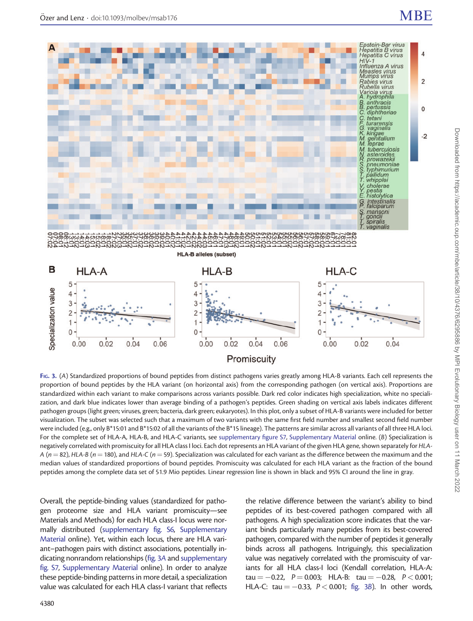<span id="page-4-0"></span>

FIG. 3. (A) Standardized proportions of bound peptides from distinct pathogens varies greatly among HLA-B variants. Each cell represents the proportion of bound peptides by the HLA variant (on horizontal axis) from the corresponding pathogen (on vertical axis). Proportions are standardized within each variant to make comparisons across variants possible. Dark red color indicates high specialization, white no specialization, and dark blue indicates lower than average binding of a pathogen's peptides. Green shading on vertical axis labels indicates different pathogen groups (light green; viruses, green; bacteria, dark green; eukaryotes). In this plot, only a subset of HLA-B variants were included for better visualization. The subset was selected such that a maximum of two variants with the same first field number and smallest second field number were included (e.g., only B\*15:01 and B\*15:02 of all the variants of the B\*15 lineage). The patterns are similar across all variants of all three HLA loci. For the complete set of HLA-A, HLA-B, and HLA-C variants, see supplementary figure S7, Supplementary Material online. (B) Specialization is negatively correlated with promiscuity for all HLA class I loci. Each dot represents an HLA variant of the given HLA gene, shown separately for HLA- $A (n = 82)$ , HLA-B (n = 180), and HLA-C (n = 59). Specialization was calculated for each variant as the difference between the maximum and the median values of standardized proportions of bound peptides. Promiscuity was calculated for each HLA variant as the fraction of the bound peptides among the complete data set of 51.9 Mio peptides. Linear regression line is shown in black and 95% CI around the line in gray.

Overall, the peptide-binding values (standardized for pathogen proteome size and HLA variant promiscuity—see Materials and Methods) for each HLA class-I locus were normally distributed (supplementary fig. S6, Supplementary Material online). Yet, within each locus, there are HLA variant–pathogen pairs with distinct associations, potentially indicating nonrandom relationships (fig. 3A and supplementary fig. S7, Supplementary Material online). In order to analyze these peptide-binding patterns in more detail, a specialization value was calculated for each HLA class-I variant that reflects

the relative difference between the variant's ability to bind peptides of its best-covered pathogen compared with all pathogens. A high specialization score indicates that the variant binds particularly many peptides from its best-covered pathogen, compared with the number of peptides it generally binds across all pathogens. Intriguingly, this specialization value was negatively correlated with the promiscuity of variants for all HLA class-I loci (Kendall correlation, HLA-A:  $tau = -0.22$ ,  $P = 0.003$ ; HLA-B:  $tau = -0.28$ ,  $P < 0.001$ ; HLA-C:  $tau = -0.33$ ,  $P < 0.001$ ; fig. 3B). In other words,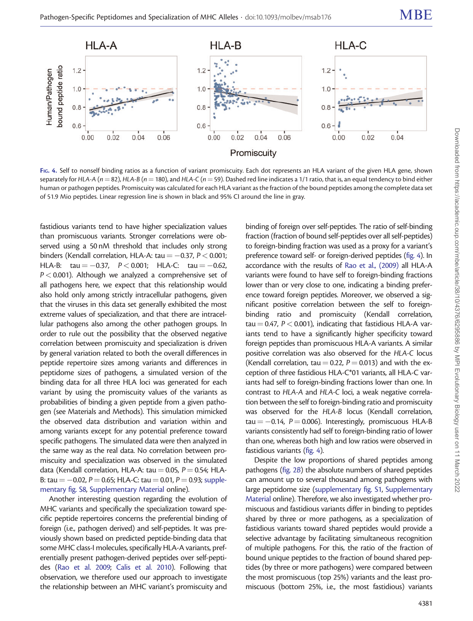

FIG. 4. Self to nonself binding ratios as a function of variant promiscuity. Each dot represents an HLA variant of the given HLA gene, shown separately for HLA-A ( $n = 82$ ), HLA-B ( $n = 180$ ), and HLA-C ( $n = 59$ ). Dashed red line indicates a 1/1 ratio, that is, an equal tendency to bind either human or pathogen peptides. Promiscuity was calculated for each HLA variant as the fraction of the bound peptides among the complete data set of 51.9 Mio peptides. Linear regression line is shown in black and 95% CI around the line in gray.

fastidious variants tend to have higher specialization values than promiscuous variants. Stronger correlations were observed using a 50 nM threshold that includes only strong binders (Kendall correlation, HLA-A: tau  $=-0.37$ ,  $P < 0.001;$ HLA-B:  $tau = -0.37$ ,  $P < 0.001$ ; HLA-C:  $tau = -0.62$ ,  $P < 0.001$ ). Although we analyzed a comprehensive set of all pathogens here, we expect that this relationship would also hold only among strictly intracellular pathogens, given that the viruses in this data set generally exhibited the most extreme values of specialization, and that there are intracellular pathogens also among the other pathogen groups. In order to rule out the possibility that the observed negative correlation between promiscuity and specialization is driven by general variation related to both the overall differences in peptide repertoire sizes among variants and differences in peptidome sizes of pathogens, a simulated version of the binding data for all three HLA loci was generated for each variant by using the promiscuity values of the variants as probabilities of binding a given peptide from a given pathogen (see Materials and Methods). This simulation mimicked the observed data distribution and variation within and among variants except for any potential preference toward specific pathogens. The simulated data were then analyzed in the same way as the real data. No correlation between promiscuity and specialization was observed in the simulated data (Kendall correlation, HLA-A: tau = 0.05,  $P = 0.54$ ; HLA-B: tau  $= -0.02$ , P  $= 0.65$ ; HLA-C: tau  $= 0.01$ , P  $= 0.93$ ; supplementary fig. S8, Supplementary Material online).

Another interesting question regarding the evolution of MHC variants and specifically the specialization toward specific peptide repertoires concerns the preferential binding of foreign (i.e., pathogen derived) and self-peptides. It was previously shown based on predicted peptide-binding data that some MHC class-I molecules, specifically HLA-A variants, preferentially present pathogen-derived peptides over self-peptides [\(Rao et al. 2009;](#page-10-0) [Calis et al. 2010\)](#page-9-0). Following that observation, we therefore used our approach to investigate the relationship between an MHC variant's promiscuity and

binding of foreign over self-peptides. The ratio of self-binding fraction (fraction of bound self-peptides over all self-peptides) to foreign-binding fraction was used as a proxy for a variant's preference toward self- or foreign-derived peptides (fig. 4). In accordance with the results of [Rao et al., \(2009\)](#page-10-0) all HLA-A variants were found to have self to foreign-binding fractions lower than or very close to one, indicating a binding preference toward foreign peptides. Moreover, we observed a significant positive correlation between the self to foreignbinding ratio and promiscuity (Kendall correlation, tau  $= 0.47$ , P  $< 0.001$ ), indicating that fastidious HLA-A variants tend to have a significantly higher specificity toward foreign peptides than promiscuous HLA-A variants. A similar positive correlation was also observed for the HLA-C locus (Kendall correlation, tau = 0.22,  $P = 0.013$ ) and with the exception of three fastidious HLA-C\*01 variants, all HLA-C variants had self to foreign-binding fractions lower than one. In contrast to HLA-A and HLA-C loci, a weak negative correlation between the self to foreign-binding ratio and promiscuity was observed for the HLA-B locus (Kendall correlation,  $tau = -0.14$ ,  $P = 0.006$ ). Interestingly, promiscuous HLA-B variants consistently had self to foreign-binding ratio of lower than one, whereas both high and low ratios were observed in fastidious variants (fig. 4).

Despite the low proportions of shared peptides among pathogens ([fig. 2](#page-2-0)B) the absolute numbers of shared peptides can amount up to several thousand among pathogens with large peptidome size (supplementary fig. S1, Supplementary Material online). Therefore, we also investigated whether promiscuous and fastidious variants differ in binding to peptides shared by three or more pathogens, as a specialization of fastidious variants toward shared peptides would provide a selective advantage by facilitating simultaneous recognition of multiple pathogens. For this, the ratio of the fraction of bound unique peptides to the fraction of bound shared peptides (by three or more pathogens) were compared between the most promiscuous (top 25%) variants and the least promiscuous (bottom 25%, i.e., the most fastidious) variants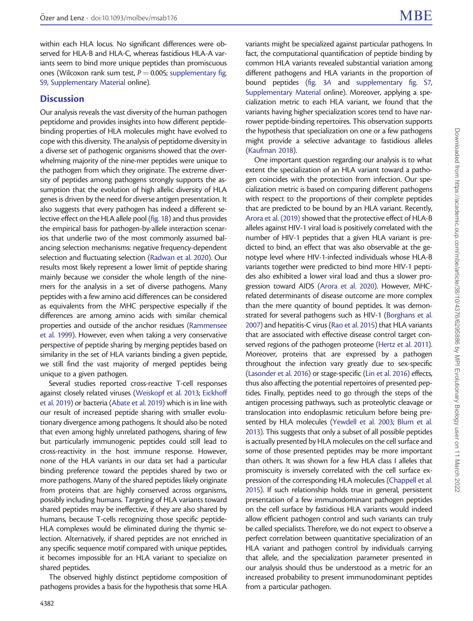within each HLA locus. No significant differences were observed for HLA-B and HLA-C, whereas fastidious HLA-A variants seem to bind more unique peptides than promiscuous ones (Wilcoxon rank sum test,  $P = 0.005$ ; supplementary fig. S9, Supplementary Material online).

# **Discussion**

Our analysis reveals the vast diversity of the human pathogen peptidome and provides insights into how different peptidebinding properties of HLA molecules might have evolved to cope with this diversity. The analysis of peptidome diversity in a diverse set of pathogenic organisms showed that the overwhelming majority of the nine-mer peptides were unique to the pathogen from which they originate. The extreme diversity of peptides among pathogens strongly supports the assumption that the evolution of high allelic diversity of HLA genes is driven by the need for diverse antigen presentation. It also suggests that every pathogen has indeed a different selective effect on the HLA allele pool [\(fig. 1](#page-2-0)B) and thus provides the empirical basis for pathogen-by-allele interaction scenarios that underlie two of the most commonly assumed balancing selection mechanisms: negative frequency-dependent selection and fluctuating selection [\(Radwan et al. 2020](#page-10-0)). Our results most likely represent a lower limit of peptide sharing mainly because we consider the whole length of the ninemers for the analysis in a set of diverse pathogens. Many peptides with a few amino acid differences can be considered as equivalents from the MHC perspective especially if the differences are among amino acids with similar chemical properties and outside of the anchor residues [\(Rammensee](#page-10-0) [et al. 1999\)](#page-10-0). However, even when taking a very conservative perspective of peptide sharing by merging peptides based on similarity in the set of HLA variants binding a given peptide, we still find the vast majority of merged peptides being unique to a given pathogen.

Several studies reported cross-reactive T-cell responses against closely related viruses [\(Weiskopf et al. 2013](#page-11-0); [Eickhoff](#page-10-0) [et al. 2019\)](#page-10-0) or bacteria ([Abate et al. 2019](#page-9-0)) which is in line with our result of increased peptide sharing with smaller evolutionary divergence among pathogens. It should also be noted that even among highly unrelated pathogens, sharing of few but particularly immunogenic peptides could still lead to cross-reactivity in the host immune response. However, none of the HLA variants in our data set had a particular binding preference toward the peptides shared by two or more pathogens. Many of the shared peptides likely originate from proteins that are highly conserved across organisms, possibly including humans. Targeting of HLA variants toward shared peptides may be ineffective, if they are also shared by humans, because T-cells recognizing those specific peptide-HLA complexes would be eliminated during the thymic selection. Alternatively, if shared peptides are not enriched in any specific sequence motif compared with unique peptides, it becomes impossible for an HLA variant to specialize on shared peptides.

The observed highly distinct peptidome composition of pathogens provides a basis for the hypothesis that some HLA

variants might be specialized against particular pathogens. In fact, the computational quantification of peptide binding by common HLA variants revealed substantial variation among different pathogens and HLA variants in the proportion of bound peptides ([fig. 3](#page-4-0)A and supplementary fig. S7, Supplementary Material online). Moreover, applying a specialization metric to each HLA variant, we found that the variants having higher specialization scores tend to have narrower peptide-binding repertoires. This observation supports the hypothesis that specialization on one or a few pathogens might provide a selective advantage to fastidious alleles [\(Kaufman 2018](#page-10-0)).

One important question regarding our analysis is to what extent the specialization of an HLA variant toward a pathogen coincides with the protection from infection. Our specialization metric is based on comparing different pathogens with respect to the proportions of their complete peptides that are predicted to be bound by an HLA variant. Recently, [Arora et al. \(2019\)](#page-9-0) showed that the protective effect of HLA-B alleles against HIV-1 viral load is positively correlated with the number of HIV-1 peptides that a given HLA variant is predicted to bind, an effect that was also observable at the genotype level where HIV-1-infected individuals whose HLA-B variants together were predicted to bind more HIV-1 peptides also exhibited a lower viral load and thus a slower progression toward AIDS [\(Arora et al. 2020](#page-9-0)). However, MHCrelated determinants of disease outcome are more complex than the mere quantity of bound peptides. It was demonstrated for several pathogens such as HIV-1 ([Borghans et al.](#page-9-0) [2007\)](#page-9-0) and hepatitis-C virus [\(Rao et al. 2015\)](#page-10-0) that HLA variants that are associated with effective disease control target conserved regions of the pathogen proteome [\(Hertz et al. 2011\)](#page-10-0). Moreover, proteins that are expressed by a pathogen throughout the infection vary greatly due to sex-specific [\(Lasonder et al. 2016](#page-10-0)) or stage-specific [\(Lin et al. 2016\)](#page-10-0) effects, thus also affecting the potential repertoires of presented peptides. Finally, peptides need to go through the steps of the antigen processing pathways, such as proteolytic cleavage or translocation into endoplasmic reticulum before being presented by HLA molecules ([Yewdell et al. 2003;](#page-11-0) [Blum et al.](#page-9-0) [2013\)](#page-9-0). This suggests that only a subset of all possible peptides is actually presented by HLA molecules on the cell surface and some of those presented peptides may be more important than others. It was shown for a few HLA class I alleles that promiscuity is inversely correlated with the cell surface expression of the corresponding HLA molecules [\(Chappell et al.](#page-9-0) [2015\)](#page-9-0). If such relationship holds true in general, persistent presentation of a few immunodominant pathogen peptides on the cell surface by fastidious HLA variants would indeed allow efficient pathogen control and such variants can truly be called specialists. Therefore, we do not expect to observe a perfect correlation between quantitative specialization of an HLA variant and pathogen control by individuals carrying that allele, and the specialization parameter presented in our analysis should thus be understood as a metric for an increased probability to present immunodominant peptides from a particular pathogen.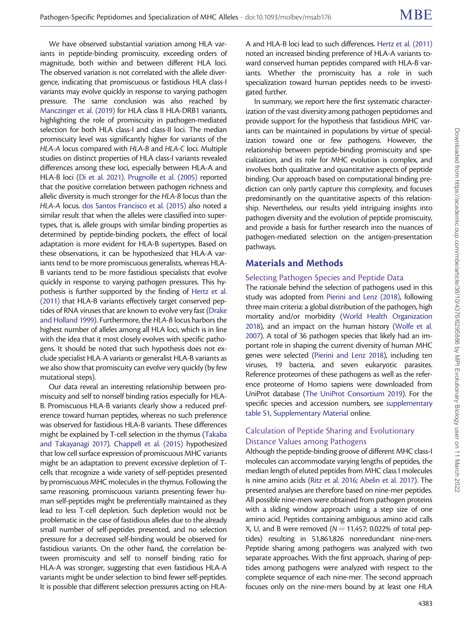We have observed substantial variation among HLA variants in peptide-binding promiscuity, exceeding orders of magnitude, both within and between different HLA loci. The observed variation is not correlated with the allele divergence, indicating that promiscuous or fastidious HLA class-I variants may evolve quickly in response to varying pathogen pressure. The same conclusion was also reached by [Manczinger et al. \(2019\)](#page-10-0) for HLA class II HLA-DRB1 variants, highlighting the role of promiscuity in pathogen-mediated selection for both HLA class-I and class-II loci. The median promiscuity level was significantly higher for variants of the HLA-A locus compared with HLA-B and HLA-C loci. Multiple studies on distinct properties of HLA class-I variants revealed differences among these loci, especially between HLA-A and HLA-B loci [\(Di et al. 2021\)](#page-9-0). [Prugnolle et al. \(2005\)](#page-10-0) reported that the positive correlation between pathogen richness and allelic diversity is much stronger for the HLA-B locus than the HLA-A locus. [dos Santos Francisco et al. \(2015\)](#page-10-0) also noted a similar result that when the alleles were classified into supertypes, that is, allele groups with similar binding properties as determined by peptide-binding pockets, the effect of local adaptation is more evident for HLA-B supertypes. Based on these observations, it can be hypothesized that HLA-A variants tend to be more promiscuous generalists, whereas HLA-B variants tend to be more fastidious specialists that evolve quickly in response to varying pathogen pressures. This hypothesis is further supported by the finding of [Hertz et al.](#page-10-0) [\(2011\)](#page-10-0) that HLA-B variants effectively target conserved peptides of RNA viruses that are known to evolve very fast [\(Drake](#page-10-0) [and Holland 1999](#page-10-0)). Furthermore, the HLA-B locus harbors the highest number of alleles among all HLA loci, which is in line with the idea that it most closely evolves with specific pathogens. It should be noted that such hypothesis does not exclude specialist HLA-A variants or generalist HLA-B variants as we also show that promiscuity can evolve very quickly (by few mutational steps).

Our data reveal an interesting relationship between promiscuity and self to nonself binding ratios especially for HLA-B. Promiscuous HLA-B variants clearly show a reduced preference toward human peptides, whereas no such preference was observed for fastidious HLA-B variants. These differences might be explained by T-cell selection in the thymus [\(Takaba](#page-11-0) [and Takayanagi 2017\)](#page-11-0). [Chappell et al. \(2015\)](#page-9-0) hypothesized that low cell surface expression of promiscuous MHC variants might be an adaptation to prevent excessive depletion of Tcells that recognize a wide variety of self-peptides presented by promiscuous MHC molecules in the thymus. Following the same reasoning, promiscuous variants presenting fewer human self-peptides might be preferentially maintained as they lead to less T-cell depletion. Such depletion would not be problematic in the case of fastidious alleles due to the already small number of self-peptides presented, and no selection pressure for a decreased self-binding would be observed for fastidious variants. On the other hand, the correlation between promiscuity and self to nonself binding ratio for HLA-A was stronger, suggesting that even fastidious HLA-A variants might be under selection to bind fewer self-peptides. It is possible that different selection pressures acting on HLA-

A and HLA-B loci lead to such differences. [Hertz et al. \(2011\)](#page-10-0) noted an increased binding preference of HLA-A variants toward conserved human peptides compared with HLA-B variants. Whether the promiscuity has a role in such specialization toward human peptides needs to be investigated further.

In summary, we report here the first systematic characterization of the vast diversity among pathogen peptidomes and provide support for the hypothesis that fastidious MHC variants can be maintained in populations by virtue of specialization toward one or few pathogens. However, the relationship between peptide-binding promiscuity and specialization, and its role for MHC evolution is complex, and involves both qualitative and quantitative aspects of peptide binding. Our approach based on computational binding prediction can only partly capture this complexity, and focuses predominantly on the quantitative aspects of this relationship. Nevertheless, our results yield intriguing insights into pathogen diversity and the evolution of peptide promiscuity, and provide a basis for further research into the nuances of pathogen-mediated selection on the antigen-presentation pathways.

### Materials and Methods

#### Selecting Pathogen Species and Peptide Data

The rationale behind the selection of pathogens used in this study was adopted from [Pierini and Lenz \(2018\),](#page-10-0) following three main criteria: a global distribution of the pathogen, high mortality and/or morbidity [\(World Health Organization](#page-11-0) [2018\)](#page-11-0), and an impact on the human history [\(Wolfe et al.](#page-11-0) [2007\)](#page-11-0). A total of 36 pathogen species that likely had an important role in shaping the current diversity of human MHC genes were selected [\(Pierini and Lenz 2018\)](#page-10-0), including ten viruses, 19 bacteria, and seven eukaryotic parasites. Reference proteomes of these pathogens as well as the reference proteome of Homo sapiens were downloaded from UniProt database ([The UniProt Consortium 2019](#page-11-0)). For the specific species and accession numbers, see supplementary table S1, Supplementary Material online.

### Calculation of Peptide Sharing and Evolutionary Distance Values among Pathogens

Although the peptide-binding groove of different MHC class-I molecules can accommodate varying lengths of peptides, the median length of eluted peptides from MHC class I molecules is nine amino acids [\(Ritz et al. 2016;](#page-10-0) [Abelin et al. 2017\)](#page-9-0). The presented analyses are therefore based on nine-mer peptides. All possible nine-mers were obtained from pathogen proteins with a sliding window approach using a step size of one amino acid. Peptides containing ambiguous amino acid calls X, U, and B were removed ( $N = 11,457$ ; 0.022% of total peptides) resulting in 51,861,826 nonredundant nine-mers. Peptide sharing among pathogens was analyzed with two separate approaches. With the first approach, sharing of peptides among pathogens were analyzed with respect to the complete sequence of each nine-mer. The second approach focuses only on the nine-mers bound by at least one HLA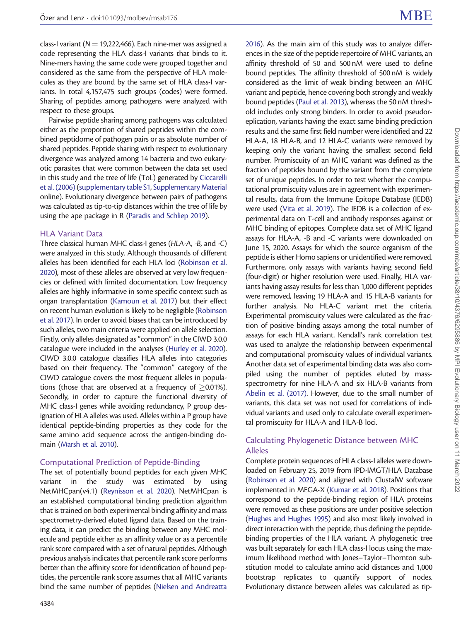class-I variant ( $N = 19,222,466$ ). Each nine-mer was assigned a code representing the HLA class-I variants that binds to it. Nine-mers having the same code were grouped together and considered as the same from the perspective of HLA molecules as they are bound by the same set of HLA class-I variants. In total 4,157,475 such groups (codes) were formed. Sharing of peptides among pathogens were analyzed with respect to these groups.

Pairwise peptide sharing among pathogens was calculated either as the proportion of shared peptides within the combined peptidome of pathogen pairs or as absolute number of shared peptides. Peptide sharing with respect to evolutionary divergence was analyzed among 14 bacteria and two eukaryotic parasites that were common between the data set used in this study and the tree of life (ToL) generated by [Ciccarelli](#page-9-0) [et al. \(2006\)](#page-9-0) (supplementary table S1, Supplementary Material online). Evolutionary divergence between pairs of pathogens was calculated as tip-to-tip distances within the tree of life by using the ape package in R [\(Paradis and Schliep 2019](#page-10-0)).

#### HLA Variant Data

Three classical human MHC class-I genes (HLA-A, -B, and -C) were analyzed in this study. Although thousands of different alleles has been identified for each HLA loci ([Robinson et al.](#page-10-0) [2020\)](#page-10-0), most of these alleles are observed at very low frequencies or defined with limited documentation. Low frequency alleles are highly informative in some specific context such as organ transplantation [\(Kamoun et al. 2017\)](#page-10-0) but their effect on recent human evolution is likely to be negligible [\(Robinson](#page-10-0) [et al. 2017\)](#page-10-0). In order to avoid biases that can be introduced by such alleles, two main criteria were applied on allele selection. Firstly, only alleles designated as "common" in the CIWD 3.0.0 catalogue were included in the analyses [\(Hurley et al. 2020\)](#page-10-0). CIWD 3.0.0 catalogue classifies HLA alleles into categories based on their frequency. The "common" category of the CIWD catalogue covers the most frequent alleles in populations (those that are observed at a frequency of  $>0.01\%$ ). Secondly, in order to capture the functional diversity of MHC class-I genes while avoiding redundancy, P group designation of HLA alleles was used. Alleles within a P group have identical peptide-binding properties as they code for the same amino acid sequence across the antigen-binding domain [\(Marsh et al. 2010\)](#page-10-0).

#### Computational Prediction of Peptide-Binding

The set of potentially bound peptides for each given MHC variant in the study was estimated by using NetMHCpan(v4.1) [\(Reynisson et al. 2020](#page-10-0)). NetMHCpan is an established computational binding prediction algorithm that is trained on both experimental binding affinity and mass spectrometry-derived eluted ligand data. Based on the training data, it can predict the binding between any MHC molecule and peptide either as an affinity value or as a percentile rank score compared with a set of natural peptides. Although previous analysis indicates that percentile rank score performs better than the affinity score for identification of bound peptides, the percentile rank score assumes that all MHC variants bind the same number of peptides [\(Nielsen and Andreatta](#page-10-0)

[2016\)](#page-10-0). As the main aim of this study was to analyze differences in the size of the peptide repertoire of MHC variants, an affinity threshold of 50 and 500 nM were used to define bound peptides. The affinity threshold of 500 nM is widely considered as the limit of weak binding between an MHC variant and peptide, hence covering both strongly and weakly bound peptides [\(Paul et al. 2013\)](#page-10-0), whereas the 50 nM threshold includes only strong binders. In order to avoid pseudoreplication, variants having the exact same binding prediction results and the same first field number were identified and 22 HLA-A, 18 HLA-B, and 12 HLA-C variants were removed by keeping only the variant having the smallest second field number. Promiscuity of an MHC variant was defined as the fraction of peptides bound by the variant from the complete set of unique peptides. In order to test whether the computational promiscuity values are in agreement with experimental results, data from the Immune Epitope Database (IEDB) were used ([Vita et al. 2019\)](#page-11-0). The IEDB is a collection of experimental data on T-cell and antibody responses against or MHC binding of epitopes. Complete data set of MHC ligand assays for HLA-A, -B and -C variants were downloaded on June 15, 2020. Assays for which the source organism of the peptide is either Homo sapiens or unidentified were removed. Furthermore, only assays with variants having second field (four-digit) or higher resolution were used. Finally, HLA variants having assay results for less than 1,000 different peptides were removed, leaving 19 HLA-A and 15 HLA-B variants for further analysis. No HLA-C variant met the criteria. Experimental promiscuity values were calculated as the fraction of positive binding assays among the total number of assays for each HLA variant. Kendall's rank correlation test was used to analyze the relationship between experimental and computational promiscuity values of individual variants. Another data set of experimental binding data was also compiled using the number of peptides eluted by massspectrometry for nine HLA-A and six HLA-B variants from [Abelin et al. \(2017\)](#page-9-0). However, due to the small number of variants, this data set was not used for correlations of individual variants and used only to calculate overall experimental promiscuity for HLA-A and HLA-B loci.

#### Calculating Phylogenetic Distance between MHC Alleles

Complete protein sequences of HLA class-I alleles were downloaded on February 25, 2019 from IPD-IMGT/HLA Database [\(Robinson et al. 2020](#page-10-0)) and aligned with ClustalW software implemented in MEGA-X ([Kumar et al. 2018\)](#page-10-0). Positions that correspond to the peptide-binding region of HLA proteins were removed as these positions are under positive selection [\(Hughes and Hughes 1995](#page-10-0)) and also most likely involved in direct interaction with the peptide, thus defining the peptidebinding properties of the HLA variant. A phylogenetic tree was built separately for each HLA class-I locus using the maximum likelihood method with Jones–Taylor–Thornton substitution model to calculate amino acid distances and 1,000 bootstrap replicates to quantify support of nodes. Evolutionary distance between alleles was calculated as tip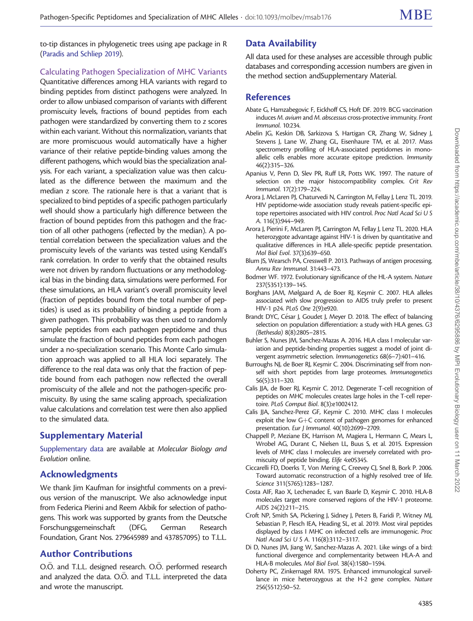<span id="page-9-0"></span>to-tip distances in phylogenetic trees using ape package in R ([Paradis and Schliep 2019](#page-10-0)).

# Calculating Pathogen Specialization of MHC Variants

Quantitative differences among HLA variants with regard to binding peptides from distinct pathogens were analyzed. In order to allow unbiased comparison of variants with different promiscuity levels, fractions of bound peptides from each pathogen were standardized by converting them to z scores within each variant. Without this normalization, variants that are more promiscuous would automatically have a higher variance of their relative peptide-binding values among the different pathogens, which would bias the specialization analysis. For each variant, a specialization value was then calculated as the difference between the maximum and the median z score. The rationale here is that a variant that is specialized to bind peptides of a specific pathogen particularly well should show a particularly high difference between the fraction of bound peptides from this pathogen and the fraction of all other pathogens (reflected by the median). A potential correlation between the specialization values and the promiscuity levels of the variants was tested using Kendall's rank correlation. In order to verify that the obtained results were not driven by random fluctuations or any methodological bias in the binding data, simulations were performed. For these simulations, an HLA variant's overall promiscuity level (fraction of peptides bound from the total number of peptides) is used as its probability of binding a peptide from a given pathogen. This probability was then used to randomly sample peptides from each pathogen peptidome and thus simulate the fraction of bound peptides from each pathogen under a no-specialization scenario. This Monte Carlo simulation approach was applied to all HLA loci separately. The difference to the real data was only that the fraction of peptide bound from each pathogen now reflected the overall promiscuity of the allele and not the pathogen-specific promiscuity. By using the same scaling approach, specialization value calculations and correlation test were then also applied to the simulated data.

# Supplementary Material

Supplementary data are available at Molecular Biology and Evolution online.

# Acknowledgments

We thank Jim Kaufman for insightful comments on a previous version of the manuscript. We also acknowledge input from Federica Pierini and Reem Akbik for selection of pathogens. This work was supported by grants from the Deutsche Forschungsgemeinschaft (DFG, German Research Foundation, Grant Nos. 279645989 and 437857095) to T.L.L.

# Author Contributions

O.O. and T.L.L. designed research. O.O. performed research and analyzed the data.  $O.O.$  and T.L.L. interpreted the data and wrote the manuscript.

# Data Availability

All data used for these analyses are accessible through public databases and corresponding accession numbers are given in the method section andSupplementary Material.

# References

- Abate G, Hamzabegovic F, Eickhoff CS, Hoft DF. 2019. BCG vaccination induces M. avium and M. abscessus cross-protective immunity. Front Immunol. 10:234.
- Abelin JG, Keskin DB, Sarkizova S, Hartigan CR, Zhang W, Sidney J, Stevens J, Lane W, Zhang GL, Eisenhaure TM, et al. 2017. Mass spectrometry profiling of HLA-associated peptidomes in monoallelic cells enables more accurate epitope prediction. Immunity 46(2):315–326.
- Apanius V, Penn D, Slev PR, Ruff LR, Potts WK. 1997. The nature of selection on the major histocompatibility complex. Crit Rev Immunol. 17(2):179–224.
- Arora J, McLaren PJ, Chaturvedi N, Carrington M, Fellay J, Lenz TL. 2019. HIV peptidome-wide association study reveals patient-specific epitope repertoires associated with HIV control. Proc Natl Acad Sci U S A. 116(3):944–949.
- Arora J, Pierini F, McLaren PJ, Carrington M, Fellay J, Lenz TL. 2020. HLA heterozygote advantage against HIV-1 is driven by quantitative and qualitative differences in HLA allele-specific peptide presentation. Mol Biol Evol. 37(3):639–650.
- Blum JS, Wearsch PA, Cresswell P. 2013. Pathways of antigen processing. Annu Rev Immunol. 31:443–473.
- Bodmer WF. 1972. Evolutionary significance of the HL-A system. Nature 237(5351):139–145.
- Borghans JAM, Mølgaard A, de Boer RJ, Keşmir C. 2007. HLA alleles associated with slow progression to AIDS truly prefer to present HIV-1 p24. PLoS One 2(9):e920.
- Brandt DYC, César J, Goudet J, Meyer D. 2018. The effect of balancing selection on population differentiation: a study with HLA genes. G3 (Bethesda) 8(8):2805–2815.
- Buhler S, Nunes JM, Sanchez-Mazas A. 2016. HLA class I molecular variation and peptide-binding properties suggest a model of joint divergent asymmetric selection. Immunogenetics 68(6–7):401–416.
- Burroughs NJ, de Boer RJ, Keşmir C. 2004. Discriminating self from nonself with short peptides from large proteomes. Immunogenetics 56(5):311–320.
- Calis JJA, de Boer RJ, Keşmir C. 2012. Degenerate T-cell recognition of peptides on MHC molecules creates large holes in the T-cell repertoire. PLoS Comput Biol. 8(3):e1002412.
- Calis JJA, Sanchez-Perez GF, Keşmir C. 2010. MHC class I molecules exploit the low  $G + C$  content of pathogen genomes for enhanced presentation. Eur J Immunol. 40(10):2699–2709.
- Chappell P, Meziane EK, Harrison M, Magiera L, Hermann C, Mears L, Wrobel AG, Durant C, Nielsen LL, Buus S, et al. 2015. Expression levels of MHC class I molecules are inversely correlated with promiscuity of peptide binding. Elife 4:e05345.
- Ciccarelli FD, Doerks T, Von Mering C, Creevey CJ, Snel B, Bork P. 2006. Toward automatic reconstruction of a highly resolved tree of life. Science 311(5765):1283–1287.
- Costa AIF, Rao X, Lechenadec E, van Baarle D, Keşmir C. 2010. HLA-B molecules target more conserved regions of the HIV-1 proteome. AIDS 24(2):211–215.
- Croft NP, Smith SA, Pickering J, Sidney J, Peters B, Faridi P, Witney MJ, Sebastian P, Flesch IEA, Heading SL, et al. 2019. Most viral peptides displayed by class I MHC on infected cells are immunogenic. Proc Natl Acad Sci U S A. 116(8):3112–3117.
- Di D, Nunes JM, Jiang W, Sanchez-Mazas A. 2021. Like wings of a bird: functional divergence and complementarity between HLA-A and HLA-B molecules. Mol Biol Evol. 38(4):1580–1594.
- Doherty PC, Zinkernagel RM. 1975. Enhanced immunological surveillance in mice heterozygous at the H-2 gene complex. Nature 256(5512):50–52.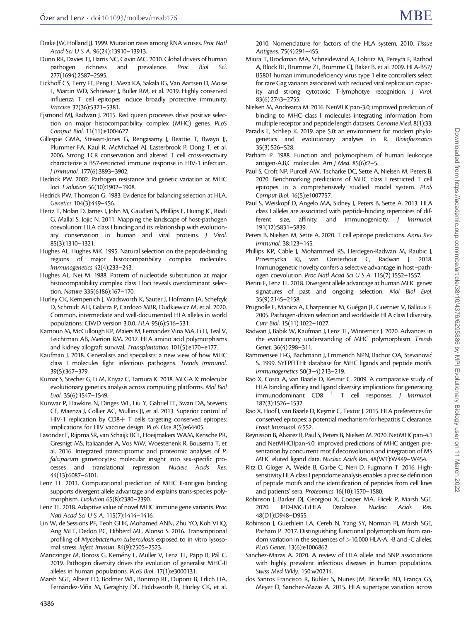- <span id="page-10-0"></span>Drake JW, Holland JJ. 1999. Mutation rates among RNA viruses. Proc Natl Acad Sci U S A. 96(24):13910–13913.
- Dunn RR, Davies TJ, Harris NC, Gavin MC. 2010. Global drivers of human pathogen richness and prevalence. Proc Biol Sci. 277(1694):2587–2595.
- Eickhoff CS, Terry FE, Peng L, Meza KA, Sakala IG, Van Aartsen D, Moise L, Martin WD, Schriewer J, Buller RM, et al. 2019. Highly conserved influenza T cell epitopes induce broadly protective immunity. Vaccine 37(36):5371–5381.
- Ejsmond MJ, Radwan J. 2015. Red queen processes drive positive selection on major histocompatibility complex (MHC) genes. PLoS Comput Biol. 11(11):e1004627.
- Gillespie GMA, Stewart-Jones G, Rengasamy J, Beattie T, Bwayo JJ, Plummer FA, Kaul R, McMichael AJ, Easterbrook P, Dong T, et al. 2006. Strong TCR conservation and altered T cell cross-reactivity characterize a B57-restricted immune response in HIV-1 infection. J Immunol. 177(6):3893–3902.
- Hedrick PW. 2002. Pathogen resistance and genetic variation at MHC loci. Evolution 56(10):1902–1908.
- Hedrick PW, Thomson G. 1983. Evidence for balancing selection at HLA. Genetics 104(3):449–456.
- Hertz T, Nolan D, James I, John M, Gaudieri S, Phillips E, Huang JC, Riadi G, Mallal S, Jojic N. 2011. Mapping the landscape of host-pathogen coevolution: HLA class I binding and its relationship with evolutionary conservation in human and viral proteins. J Virol. 85(3):1310–1321.
- Hughes AL, Hughes MK. 1995. Natural selection on the peptide-binding regions of major histocompatibility complex molecules. Immunogenetics 42(4):233–243.
- Hughes AL, Nei M. 1988. Pattern of nucleotide substitution at major histocompatibility complex class I loci reveals overdominant selection. Nature 335(6186):167–170.
- Hurley CK, Kempenich J, Wadsworth K, Sauter J, Hofmann JA, Schefzyk D, Schmidt AH, Galarza P, Cardozo MBR, Dudkiewicz M, et al. 2020. Common, intermediate and well-documented HLA alleles in world populations: CIWD version 3.0.0. HLA 95(6):516–531.
- Kamoun M, McCullough KP, Maiers M, Fernandez Vina MA, Li H, Teal V, Leichtman AB, Merion RM. 2017. HLA amino acid polymorphisms and kidney allograft survival. Transplantation 101(5):e170–e177.
- Kaufman J. 2018. Generalists and specialists: a new view of how MHC class I molecules fight infectious pathogens. Trends Immunol. 39(5):367–379.
- Kumar S, Stecher G, Li M, Knyaz C, Tamura K. 2018. MEGA X: molecular evolutionary genetics analysis across computing platforms. Mol Biol Evol. 35(6):1547–1549.
- Kunwar P, Hawkins N, Dinges WL, Liu Y, Gabriel EE, Swan DA, Stevens CE, Maenza J, Collier AC, Mullins JI, et al. 2013. Superior control of HIV-1 replication by  $CDB + T$  cells targeting conserved epitopes: implications for HIV vaccine design. PLoS One 8(5):e64405.
- Lasonder E, Rijpma SR, van Schaijk BCL, Hoeijmakers WAM, Kensche PR, Gresnigt MS, Italiaander A, Vos MW, Woestenenk R, Bousema T, et al. 2016. Integrated transcriptomic and proteomic analyses of P. falciparum gametocytes: molecular insight into sex-specific processes and translational repression. Nucleic Acids Res. 44(13):6087–6101.
- Lenz TL. 2011. Computational prediction of MHC II-antigen binding supports divergent allele advantage and explains trans-species polymorphism. Evolution 65(8):2380–2390.
- Lenz TL. 2018. Adaptive value of novel MHC immune gene variants. Proc Natl Acad Sci U S A. 115(7):1414–1416.
- Lin W, de Sessions PF, Teoh GHK, Mohamed ANN, Zhu YO, Koh VHQ, Ang MLT, Dedon PC, Hibberd ML, Alonso S. 2016. Transcriptional profiling of Mycobacterium tuberculosis exposed to in vitro lysosomal stress. Infect Immun. 84(9):2505–2523.
- Manczinger M, Boross G, Kemény L, Müller V, Lenz TL, Papp B, Pál C. 2019. Pathogen diversity drives the evolution of generalist MHC-II alleles in human populations. PLoS Biol. 17(1):e3000131.
- Marsh SGE, Albert ED, Bodmer WF, Bontrop RE, Dupont B, Erlich HA, Fernández-Viña M, Geraghty DE, Holdsworth R, Hurley CK, et al.

2010. Nomenclature for factors of the HLA system, 2010. Tissue Antigens. 75(4):291–455.

- Miura T, Brockman MA, Schneidewind A, Lobritz M, Pereyra F, Rathod A, Block BL, Brumme ZL, Brumme CJ, Baker B, et al. 2009. HLA-B57/ B5801 human immunodeficiency virus type 1 elite controllers select for rare Gag variants associated with reduced viral replication capacity and strong cytotoxic T-lymphotye recognition. J Virol. 83(6):2743–2755.
- Nielsen M, Andreatta M. 2016. NetMHCpan-3.0; improved prediction of binding to MHC class I molecules integrating information from multiple receptor and peptide length datasets. Genome Med. 8(1):33.
- Paradis E, Schliep K. 2019. ape 5.0: an environment for modern phylogenetics and evolutionary analyses in R. Bioinformatics 35(3):526–528.
- Parham P. 1988. Function and polymorphism of human leukocyte antigen-A,B,C molecules. Am J Med. 85(6):2–5.
- Paul S, Croft NP, Purcell AW, Tscharke DC, Sette A, Nielsen M, Peters B. 2020. Benchmarking predictions of MHC class I restricted T cell epitopes in a comprehensively studied model system. PLoS Comput Biol. 16(5):e1007757.
- Paul S, Weiskopf D, Angelo MA, Sidney J, Peters B, Sette A. 2013. HLA class I alleles are associated with peptide-binding repertoires of different size, affinity, and immunogenicity. J Immunol. 191(12):5831–5839.
- Peters B, Nielsen M, Sette A. 2020. T cell epitope predictions. Annu Rev Immunol. 38:123–145.
- Phillips KP, Cable J, Mohammed RS, Herdegen-Radwan M, Raubic J, Przesmycka KJ, van Oosterhout C, Radwan J. 2018. Immunogenetic novelty confers a selective advantage in host–pathogen coevolution. Proc Natl Acad Sci U S A. 115(7):1552–1557.
- Pierini F, Lenz TL. 2018. Divergent allele advantage at human MHC genes: signatures of past and ongoing selection. Mol Biol Evol. 35(9):2145–2158.
- Prugnolle F, Manica A, Charpentier M, Guégan JF, Guernier V, Balloux F. 2005. Pathogen-driven selection and worldwide HLA class I diversity. Curr Biol. 15(11):1022–1027.
- Radwan J, Babik W, Kaufman J, Lenz TL, Winternitz J. 2020. Advances in the evolutionary understanding of MHC polymorphism. Trends Genet. 36(4):298–311.
- Rammensee H-G, Bachmann J, Emmerich NPN, Bachor OA, Stevanović S. 1999. SYFPEITHI: database for MHC ligands and peptide motifs. Immunogenetics 50(3–4):213–219.
- Rao X, Costa A, van Baarle D, Kesmir C. 2009. A comparative study of HLA binding affinity and ligand diversity: implications for generating immunodominant  $CD8 + T$  cell responses. J Immunol. 182(3):1526–1532.
- Rao X, Hoof I, van Baarle D, Kesmir C, Textor J. 2015. HLA preferences for conserved epitopes: a potential mechanism for hepatitis C clearance. Front Immunol. 6:552.
- Reynisson B, Alvarez B, Paul S, Peters B, Nielsen M. 2020. NetMHCpan-4.1 and NetMHCIIpan-4.0: improved predictions of MHC antigen presentation by concurrent motif deconvolution and integration of MS MHC eluted ligand data. Nucleic Acids Res. 48(W1):W449–W454.
- Ritz D, Gloger A, Weide B, Garbe C, Neri D, Fugmann T. 2016. Highsensitivity HLA class I peptidome analysis enables a precise definition of peptide motifs and the identification of peptides from cell lines and patients' sera. Proteomics 16(10):1570–1580.
- Robinson J, Barker DJ, Georgiou X, Cooper MA, Flicek P, Marsh SGE. 2020. IPD-IMGT/HLA Database. Nucleic Acids Res. 48(D1):D948–D955.
- Robinson J, Guethlein LA, Cereb N, Yang SY, Norman PJ, Marsh SGE, Parham P. 2017. Distinguishing functional polymorphism from random variation in the sequences of >10,000 HLA-A, -B and -C alleles. PLoS Genet. 13(6):e1006862.
- Sanchez-Mazas A. 2020. A review of HLA allele and SNP associations with highly prevalent infectious diseases in human populations. Swiss Med Wkly. 150:w20214.
- dos Santos Francisco R, Buhler S, Nunes JM, Bitarello BD, França GS, Meyer D, Sanchez-Mazas A. 2015. HLA supertype variation across